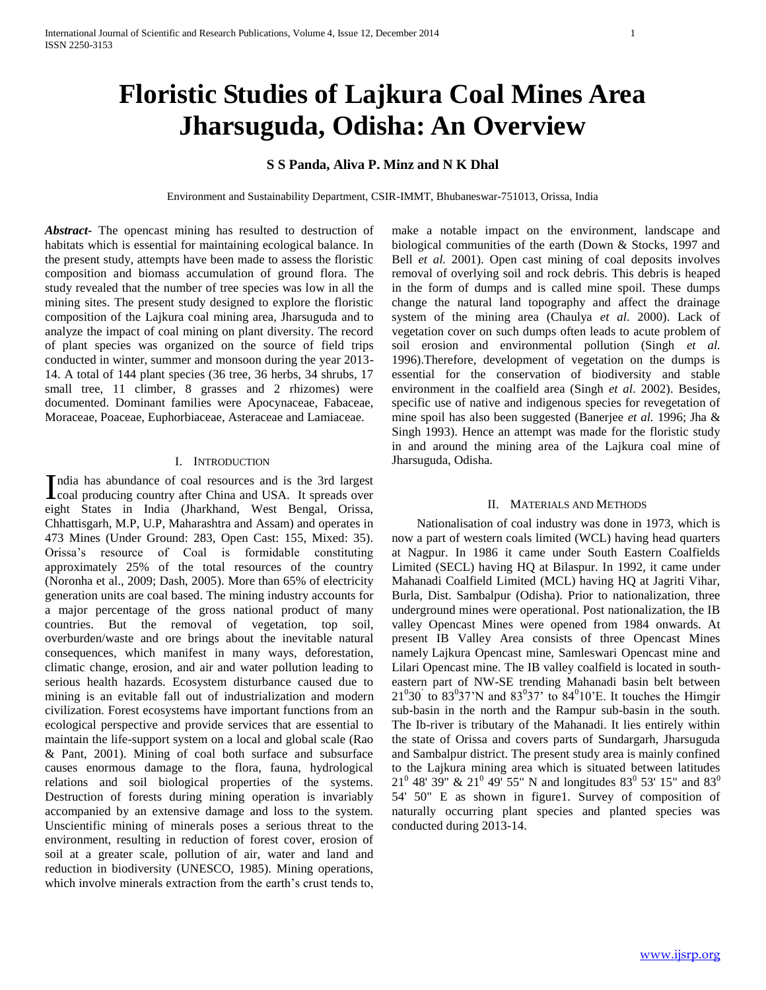# **Floristic Studies of Lajkura Coal Mines Area Jharsuguda, Odisha: An Overview**

## **S S Panda, Aliva P. Minz and N K Dhal**

Environment and Sustainability Department, CSIR-IMMT, Bhubaneswar-751013, Orissa, India

*Abstract***-** The opencast mining has resulted to destruction of habitats which is essential for maintaining ecological balance. In the present study, attempts have been made to assess the floristic composition and biomass accumulation of ground flora. The study revealed that the number of tree species was low in all the mining sites. The present study designed to explore the floristic composition of the Lajkura coal mining area, Jharsuguda and to analyze the impact of coal mining on plant diversity. The record of plant species was organized on the source of field trips conducted in winter, summer and monsoon during the year 2013- 14. A total of 144 plant species (36 tree, 36 herbs, 34 shrubs, 17 small tree, 11 climber, 8 grasses and 2 rhizomes) were documented. Dominant families were Apocynaceae, Fabaceae, Moraceae, Poaceae, Euphorbiaceae, Asteraceae and Lamiaceae.

## I. INTRODUCTION

ndia has abundance of coal resources and is the 3rd largest India has abundance of coal resources and is the 3rd largest<br>coal producing country after China and USA. It spreads over eight States in India (Jharkhand, West Bengal, Orissa, Chhattisgarh, M.P, U.P, Maharashtra and Assam) and operates in 473 Mines (Under Ground: 283, Open Cast: 155, Mixed: 35). Orissa's resource of Coal is formidable constituting approximately 25% of the total resources of the country (Noronha et al., 2009; Dash, 2005). More than 65% of electricity generation units are coal based. The mining industry accounts for a major percentage of the gross national product of many countries. But the removal of vegetation, top soil, overburden/waste and ore brings about the inevitable natural consequences, which manifest in many ways, deforestation, climatic change, erosion, and air and water pollution leading to serious health hazards. Ecosystem disturbance caused due to mining is an evitable fall out of industrialization and modern civilization. Forest ecosystems have important functions from an ecological perspective and provide services that are essential to maintain the life-support system on a local and global scale (Rao & Pant, 2001). Mining of coal both surface and subsurface causes enormous damage to the flora, fauna, hydrological relations and soil biological properties of the systems. Destruction of forests during mining operation is invariably accompanied by an extensive damage and loss to the system. Unscientific mining of minerals poses a serious threat to the environment, resulting in reduction of forest cover, erosion of soil at a greater scale, pollution of air, water and land and reduction in biodiversity (UNESCO, 1985). Mining operations, which involve minerals extraction from the earth's crust tends to,

make a notable impact on the environment, landscape and biological communities of the earth (Down & Stocks, 1997 and Bell *et al.* 2001). Open cast mining of coal deposits involves removal of overlying soil and rock debris. This debris is heaped in the form of dumps and is called mine spoil. These dumps change the natural land topography and affect the drainage system of the mining area (Chaulya *et al*. 2000). Lack of vegetation cover on such dumps often leads to acute problem of soil erosion and environmental pollution (Singh *et al.*  1996).Therefore, development of vegetation on the dumps is essential for the conservation of biodiversity and stable environment in the coalfield area (Singh *et al*. 2002). Besides, specific use of native and indigenous species for revegetation of mine spoil has also been suggested (Banerjee *et al.* 1996; Jha & Singh 1993). Hence an attempt was made for the floristic study in and around the mining area of the Lajkura coal mine of Jharsuguda, Odisha.

#### II. MATERIALS AND METHODS

 Nationalisation of coal industry was done in 1973, which is now a part of western coals limited (WCL) having head quarters at Nagpur. In 1986 it came under South Eastern Coalfields Limited (SECL) having HQ at Bilaspur. In 1992, it came under Mahanadi Coalfield Limited (MCL) having HQ at Jagriti Vihar, Burla, Dist. Sambalpur (Odisha). Prior to nationalization, three underground mines were operational. Post nationalization, the IB valley Opencast Mines were opened from 1984 onwards. At present IB Valley Area consists of three Opencast Mines namely Lajkura Opencast mine, Samleswari Opencast mine and Lilari Opencast mine. The IB valley coalfield is located in southeastern part of NW-SE trending Mahanadi basin belt between  $21^{0}30^{6}$  to  $83^{0}37$ 'N and  $83^{0}37^{6}$  to  $84^{0}10$ 'E. It touches the Himgir sub-basin in the north and the Rampur sub-basin in the south. The Ib-river is tributary of the Mahanadi. It lies entirely within the state of Orissa and covers parts of Sundargarh, Jharsuguda and Sambalpur district. The present study area is mainly confined to the Lajkura mining area which is situated between latitudes  $21^{\circ}$  48' 39" &  $21^{\circ}$  49' 55" N and longitudes 83<sup>°</sup> 53' 15" and 83<sup>°</sup> 54' 50" E as shown in figure1. Survey of composition of naturally occurring plant species and planted species was conducted during 2013-14.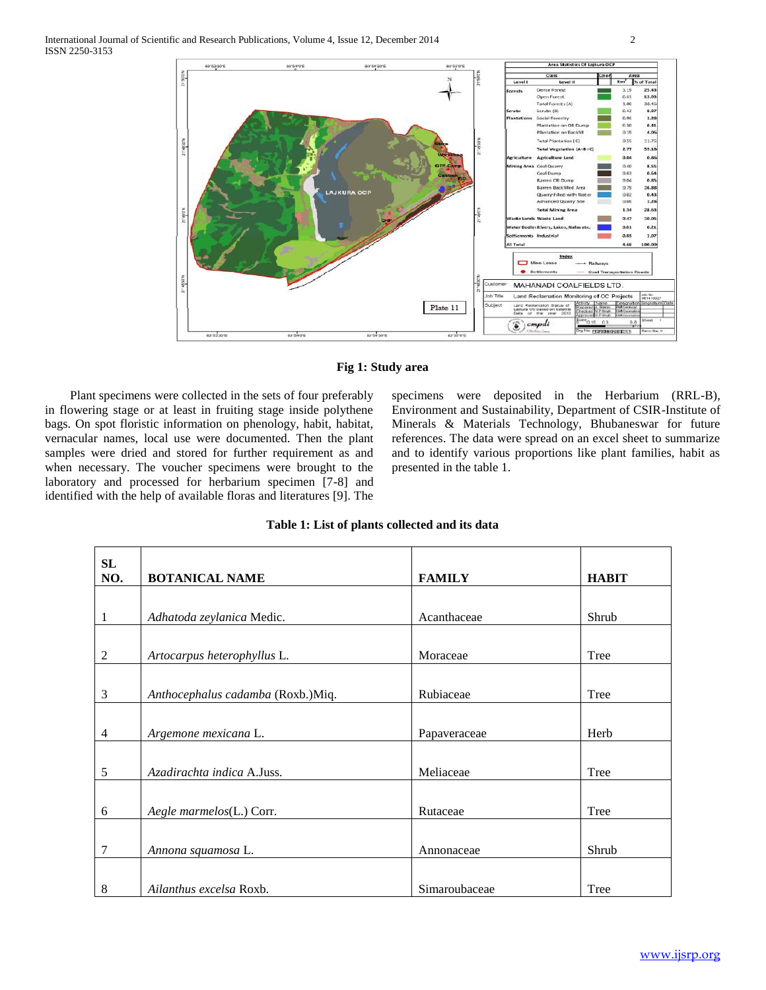

## **Fig 1: Study area**

 Plant specimens were collected in the sets of four preferably in flowering stage or at least in fruiting stage inside polythene bags. On spot floristic information on phenology, habit, habitat, vernacular names, local use were documented. Then the plant samples were dried and stored for further requirement as and when necessary. The voucher specimens were brought to the laboratory and processed for herbarium specimen [7-8] and identified with the help of available floras and literatures [9]. The specimens were deposited in the Herbarium (RRL-B), Environment and Sustainability, Department of CSIR-Institute of Minerals & Materials Technology, Bhubaneswar for future references. The data were spread on an excel sheet to summarize and to identify various proportions like plant families, habit as presented in the table 1.

| <b>SL</b>      |                                   |               |              |
|----------------|-----------------------------------|---------------|--------------|
| NO.            | <b>BOTANICAL NAME</b>             | <b>FAMILY</b> | <b>HABIT</b> |
|                |                                   |               |              |
| 1              | Adhatoda zeylanica Medic.         | Acanthaceae   | Shrub        |
|                |                                   |               |              |
| $\overline{2}$ | Artocarpus heterophyllus L.       | Moraceae      | Tree         |
|                |                                   |               |              |
| 3              | Anthocephalus cadamba (Roxb.)Miq. | Rubiaceae     | Tree         |
|                |                                   |               |              |
| $\overline{4}$ | Argemone mexicana L.              | Papaveraceae  | Herb         |
|                |                                   |               |              |
| 5              | Azadirachta indica A.Juss.        | Meliaceae     | Tree         |
|                |                                   |               |              |
| 6              | Aegle marmelos(L.) Corr.          | Rutaceae      | Tree         |
|                |                                   |               |              |
| $\overline{7}$ | Annona squamosa L.                | Annonaceae    | Shrub        |
|                |                                   |               |              |
| 8              | Ailanthus excelsa Roxb.           | Simaroubaceae | Tree         |

## **Table 1: List of plants collected and its data**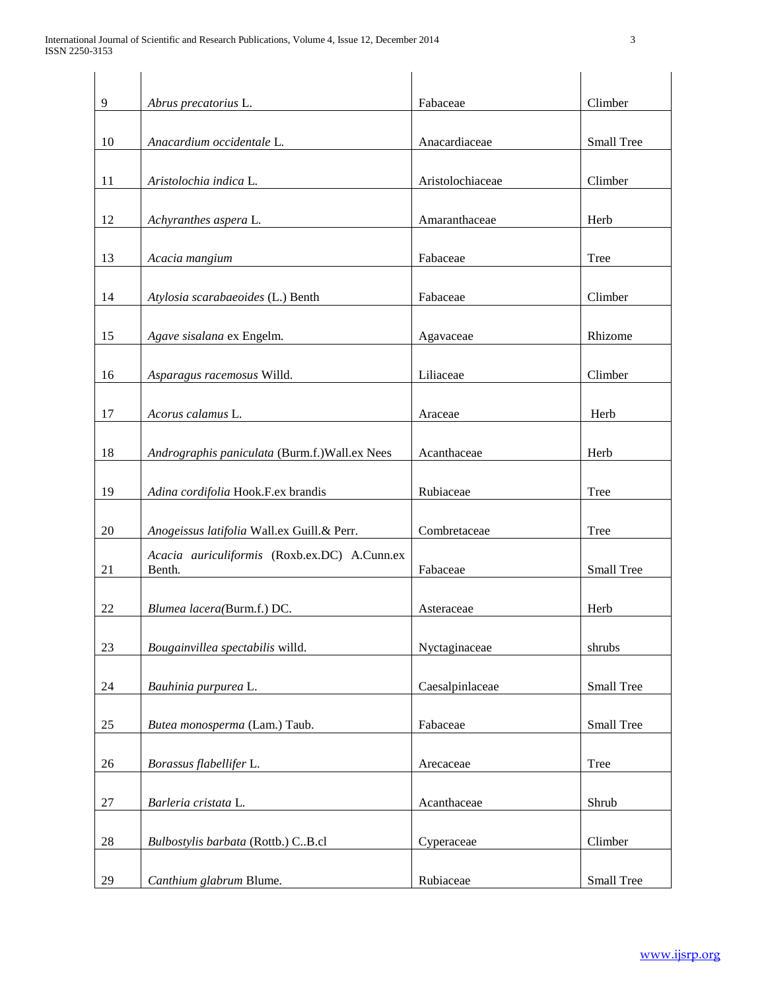| 9  | Abrus precatorius L.                                   | Fabaceae         | Climber    |
|----|--------------------------------------------------------|------------------|------------|
| 10 | Anacardium occidentale L.                              | Anacardiaceae    | Small Tree |
| 11 | Aristolochia indica L.                                 | Aristolochiaceae | Climber    |
| 12 | Achyranthes aspera L.                                  | Amaranthaceae    | Herb       |
| 13 | Acacia mangium                                         | Fabaceae         | Tree       |
| 14 | Atylosia scarabaeoides (L.) Benth                      | Fabaceae         | Climber    |
| 15 | Agave sisalana ex Engelm.                              | Agavaceae        | Rhizome    |
| 16 | Asparagus racemosus Willd.                             | Liliaceae        | Climber    |
| 17 | Acorus calamus L.                                      | Araceae          | Herb       |
| 18 | Andrographis paniculata (Burm.f.) Wall.ex Nees         | Acanthaceae      | Herb       |
| 19 | Adina cordifolia Hook.F.ex brandis                     | Rubiaceae        | Tree       |
| 20 | Anogeissus latifolia Wall.ex Guill.& Perr.             | Combretaceae     | Tree       |
| 21 | Acacia auriculiformis (Roxb.ex.DC) A.Cunn.ex<br>Benth. | Fabaceae         | Small Tree |
| 22 | Blumea lacera(Burm.f.) DC.                             | Asteraceae       | Herb       |
| 23 | Bougainvillea spectabilis willd.                       | Nyctaginaceae    | shrubs     |
| 24 | Bauhinia purpurea L.                                   | Caesalpinlaceae  | Small Tree |
| 25 | Butea monosperma (Lam.) Taub.                          | Fabaceae         | Small Tree |
| 26 | Borassus flabellifer L.                                | Arecaceae        | Tree       |
| 27 | Barleria cristata L.                                   | Acanthaceae      | Shrub      |
| 28 | Bulbostylis barbata (Rottb.) C.B.cl                    | Cyperaceae       | Climber    |
| 29 | Canthium glabrum Blume.                                | Rubiaceae        | Small Tree |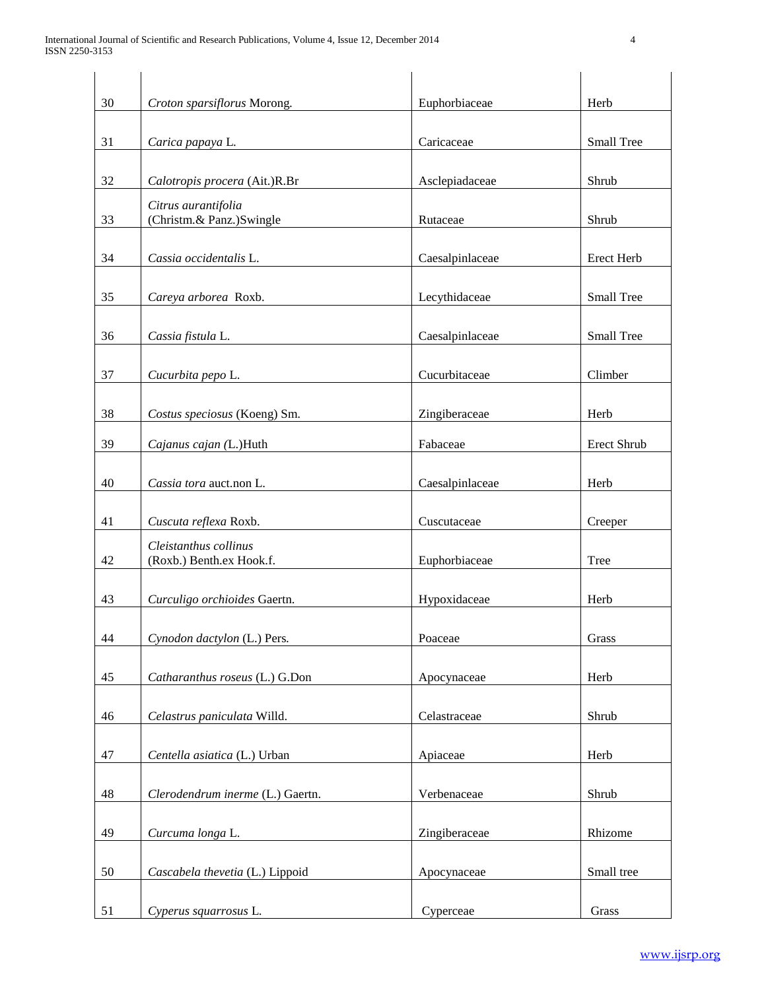| 30     | Croton sparsiflorus Morong.                       | Euphorbiaceae   | Herb        |
|--------|---------------------------------------------------|-----------------|-------------|
| 31     | Carica papaya L.                                  | Caricaceae      | Small Tree  |
| 32     | Calotropis procera (Ait.)R.Br                     | Asclepiadaceae  | Shrub       |
| 33     | Citrus aurantifolia<br>(Christm.& Panz.)Swingle   | Rutaceae        | Shrub       |
| 34     | Cassia occidentalis L.                            | Caesalpinlaceae | Erect Herb  |
| 35     | Careya arborea Roxb.                              | Lecythidaceae   | Small Tree  |
| 36     | Cassia fistula L.                                 | Caesalpinlaceae | Small Tree  |
| 37     | Cucurbita pepo L.                                 | Cucurbitaceae   | Climber     |
| 38     | Costus speciosus (Koeng) Sm.                      | Zingiberaceae   | Herb        |
| 39     | Cajanus cajan (L.)Huth                            | Fabaceae        | Erect Shrub |
| 40     | Cassia tora auct.non L.                           | Caesalpinlaceae | Herb        |
| 41     | Cuscuta reflexa Roxb.                             | Cuscutaceae     | Creeper     |
| 42     | Cleistanthus collinus<br>(Roxb.) Benth.ex Hook.f. | Euphorbiaceae   | Tree        |
| 43     | Curculigo orchioides Gaertn.                      | Hypoxidaceae    | Herb        |
| 44     | Cynodon dactylon (L.) Pers.                       | Poaceae         | Grass       |
| 45     | Catharanthus roseus (L.) G.Don                    | Apocynaceae     | Herb        |
| 46     | Celastrus paniculata Willd.                       | Celastraceae    | Shrub       |
| 47     | Centella asiatica (L.) Urban                      | Apiaceae        | Herb        |
| $48\,$ | Clerodendrum inerme (L.) Gaertn.                  | Verbenaceae     | Shrub       |
| 49     | Curcuma longa L.                                  | Zingiberaceae   | Rhizome     |
| 50     | Cascabela thevetia (L.) Lippoid                   | Apocynaceae     | Small tree  |
| 51     | Cyperus squarrosus L.                             | Cyperceae       | Grass       |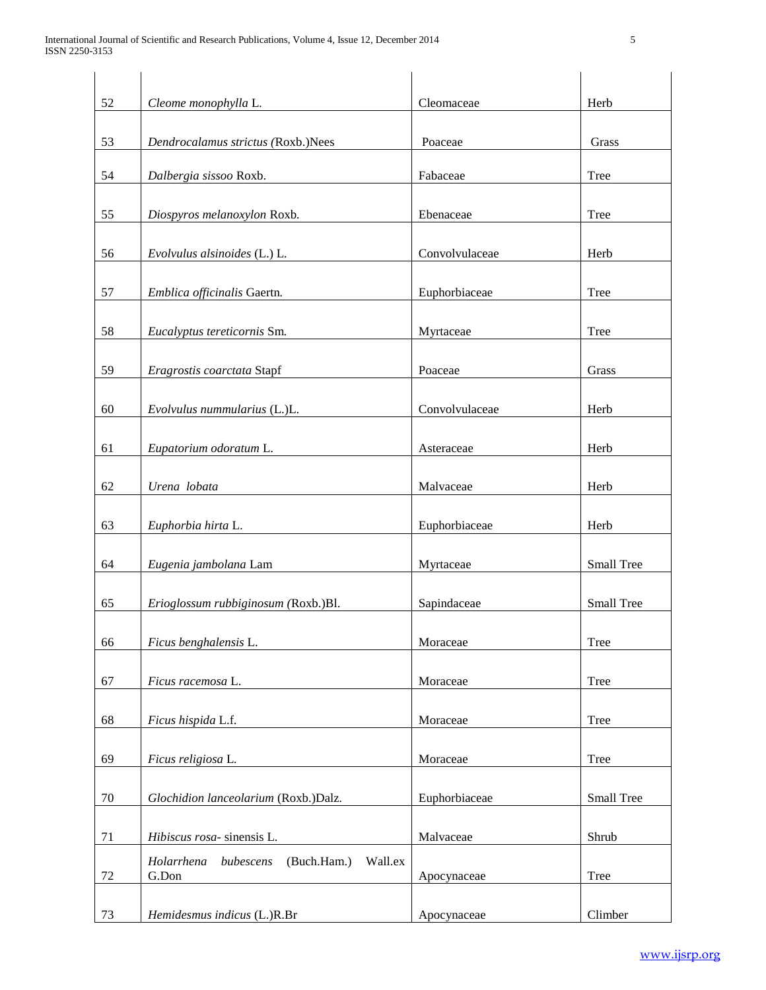| 52 | Cleome monophylla L.                                       | Cleomaceae     | Herb       |
|----|------------------------------------------------------------|----------------|------------|
| 53 | Dendrocalamus strictus (Roxb.)Nees                         | Poaceae        | Grass      |
| 54 | Dalbergia sissoo Roxb.                                     | Fabaceae       | Tree       |
| 55 | Diospyros melanoxylon Roxb.                                | Ebenaceae      | Tree       |
| 56 | Evolvulus alsinoides (L.) L.                               | Convolvulaceae | Herb       |
| 57 | Emblica officinalis Gaertn.                                | Euphorbiaceae  | Tree       |
| 58 | Eucalyptus tereticornis Sm.                                | Myrtaceae      | Tree       |
| 59 | Eragrostis coarctata Stapf                                 | Poaceae        | Grass      |
| 60 | Evolvulus nummularius (L.)L.                               | Convolvulaceae | Herb       |
| 61 | Eupatorium odoratum L.                                     | Asteraceae     | Herb       |
| 62 | Urena lobata                                               | Malvaceae      | Herb       |
| 63 | Euphorbia hirta L.                                         | Euphorbiaceae  | Herb       |
| 64 | Eugenia jambolana Lam                                      | Myrtaceae      | Small Tree |
| 65 | Erioglossum rubbiginosum (Roxb.)Bl.                        | Sapindaceae    | Small Tree |
| 66 | Ficus benghalensis L.                                      | Moraceae       | Tree       |
| 67 | Ficus racemosa L.                                          | Moraceae       | Tree       |
| 68 | Ficus hispida L.f.                                         | Moraceae       | Tree       |
| 69 | Ficus religiosa L.                                         | Moraceae       | Tree       |
| 70 | Glochidion lanceolarium (Roxb.)Dalz.                       | Euphorbiaceae  | Small Tree |
| 71 | Hibiscus rosa- sinensis L.                                 | Malvaceae      | Shrub      |
| 72 | Holarrhena<br>(Buch.Ham.)<br>Wall.ex<br>bubescens<br>G.Don | Apocynaceae    | Tree       |
| 73 | Hemidesmus indicus (L.)R.Br                                | Apocynaceae    | Climber    |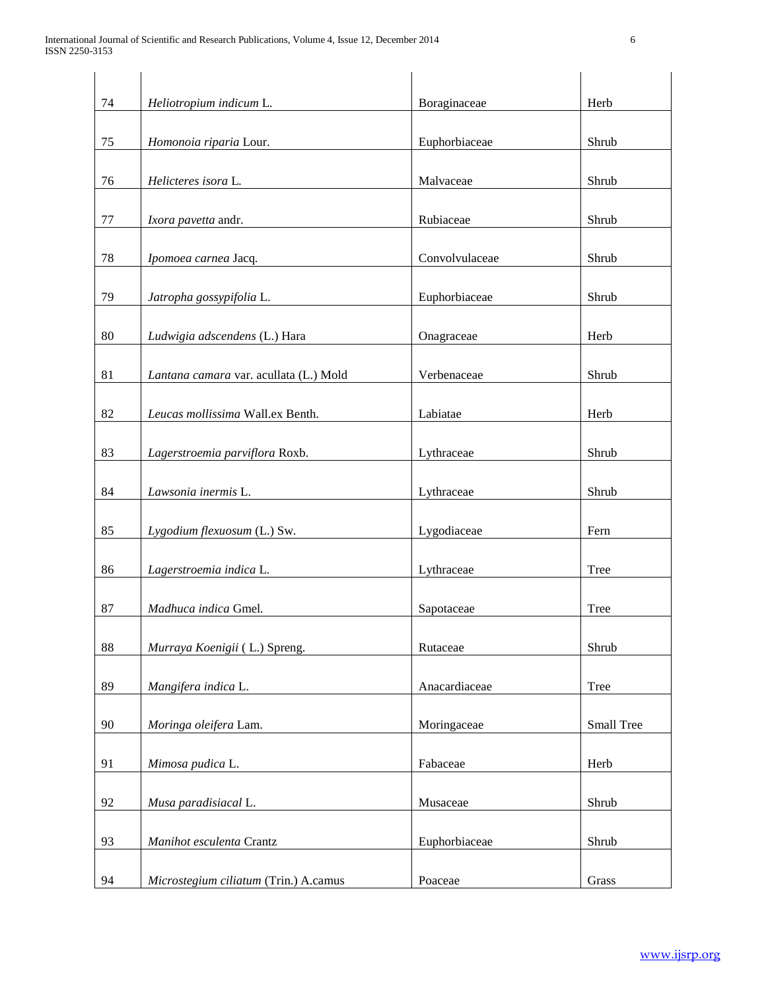| 74 | Heliotropium indicum L.                | Boraginaceae   | Herb       |
|----|----------------------------------------|----------------|------------|
| 75 | Homonoia riparia Lour.                 | Euphorbiaceae  | Shrub      |
| 76 | Helicteres isora L.                    | Malvaceae      | Shrub      |
| 77 | Ixora pavetta andr.                    | Rubiaceae      | Shrub      |
| 78 | Ipomoea carnea Jacq.                   | Convolvulaceae | Shrub      |
| 79 | Jatropha gossypifolia L.               | Euphorbiaceae  | Shrub      |
| 80 | Ludwigia adscendens (L.) Hara          | Onagraceae     | Herb       |
| 81 | Lantana camara var. acullata (L.) Mold | Verbenaceae    | Shrub      |
| 82 | Leucas mollissima Wall.ex Benth.       | Labiatae       | Herb       |
| 83 | Lagerstroemia parviflora Roxb.         | Lythraceae     | Shrub      |
| 84 | Lawsonia inermis L.                    | Lythraceae     | Shrub      |
| 85 | Lygodium flexuosum (L.) Sw.            | Lygodiaceae    | Fern       |
| 86 | Lagerstroemia indica L.                | Lythraceae     | Tree       |
| 87 | Madhuca indica Gmel.                   | Sapotaceae     | Tree       |
| 88 | Murraya Koenigii (L.) Spreng.          | Rutaceae       | Shrub      |
| 89 | Mangifera indica L.                    | Anacardiaceae  | Tree       |
| 90 | Moringa oleifera Lam.                  | Moringaceae    | Small Tree |
| 91 | Mimosa pudica L.                       | Fabaceae       | Herb       |
| 92 | Musa paradisiacal L.                   | Musaceae       | Shrub      |
| 93 | Manihot esculenta Crantz               | Euphorbiaceae  | Shrub      |
| 94 | Microstegium ciliatum (Trin.) A.camus  | Poaceae        | Grass      |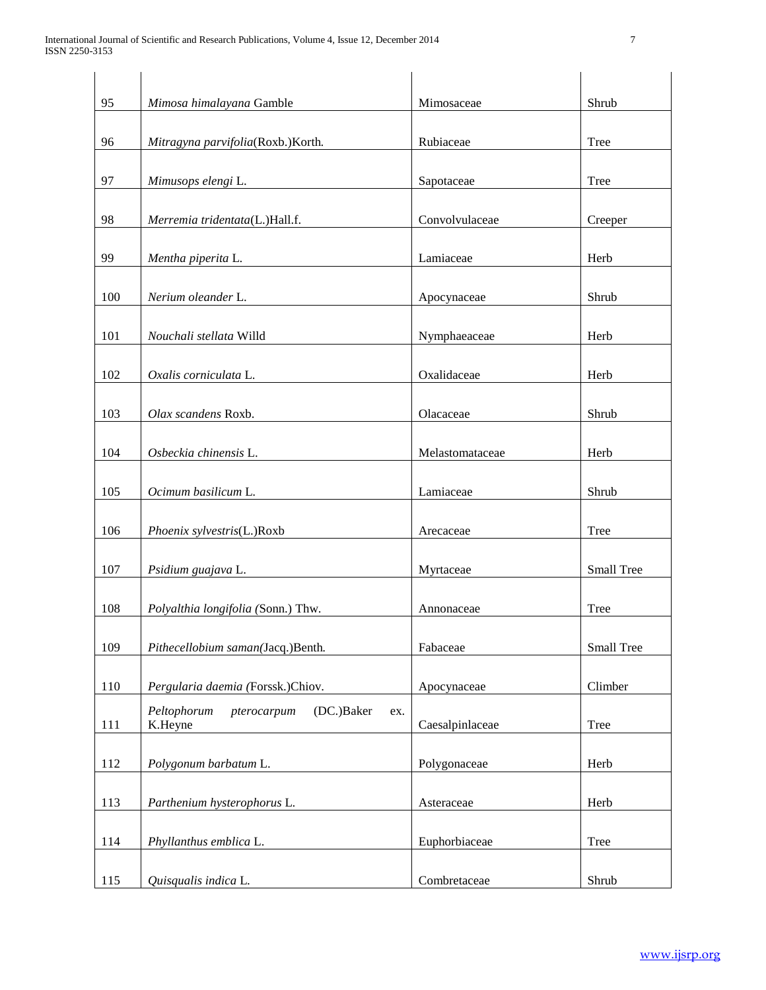| 95  | Mimosa himalayana Gamble                                   | Mimosaceae      | Shrub             |
|-----|------------------------------------------------------------|-----------------|-------------------|
| 96  | Mitragyna parvifolia(Roxb.)Korth.                          | Rubiaceae       | Tree              |
| 97  | Mimusops elengi L.                                         | Sapotaceae      | Tree              |
| 98  | Merremia tridentata(L.)Hall.f.                             | Convolvulaceae  | Creeper           |
| 99  | Mentha piperita L.                                         | Lamiaceae       | Herb              |
| 100 | Nerium oleander L.                                         | Apocynaceae     | Shrub             |
| 101 | Nouchali stellata Willd                                    | Nymphaeaceae    | Herb              |
| 102 | Oxalis corniculata L.                                      | Oxalidaceae     | Herb              |
| 103 | Olax scandens Roxb.                                        | Olacaceae       | Shrub             |
| 104 | Osbeckia chinensis L.                                      | Melastomataceae | Herb              |
| 105 | Ocimum basilicum L.                                        | Lamiaceae       | Shrub             |
| 106 | Phoenix sylvestris(L.)Roxb                                 | Arecaceae       | Tree              |
| 107 | Psidium guajava L.                                         | Myrtaceae       | Small Tree        |
| 108 | Polyalthia longifolia (Sonn.) Thw.                         | Annonaceae      | Tree              |
| 109 | Pithecellobium saman(Jacq.)Benth.                          | Fabaceae        | <b>Small Tree</b> |
| 110 | Pergularia daemia (Forssk.)Chiov.                          | Apocynaceae     | Climber           |
| 111 | pterocarpum<br>(DC.)Baker<br>Peltophorum<br>ex.<br>K.Heyne | Caesalpinlaceae | Tree              |
| 112 | Polygonum barbatum L.                                      | Polygonaceae    | Herb              |
| 113 | Parthenium hysterophorus L.                                | Asteraceae      | Herb              |
| 114 | Phyllanthus emblica L.                                     | Euphorbiaceae   | Tree              |
| 115 | Quisqualis indica L.                                       | Combretaceae    | Shrub             |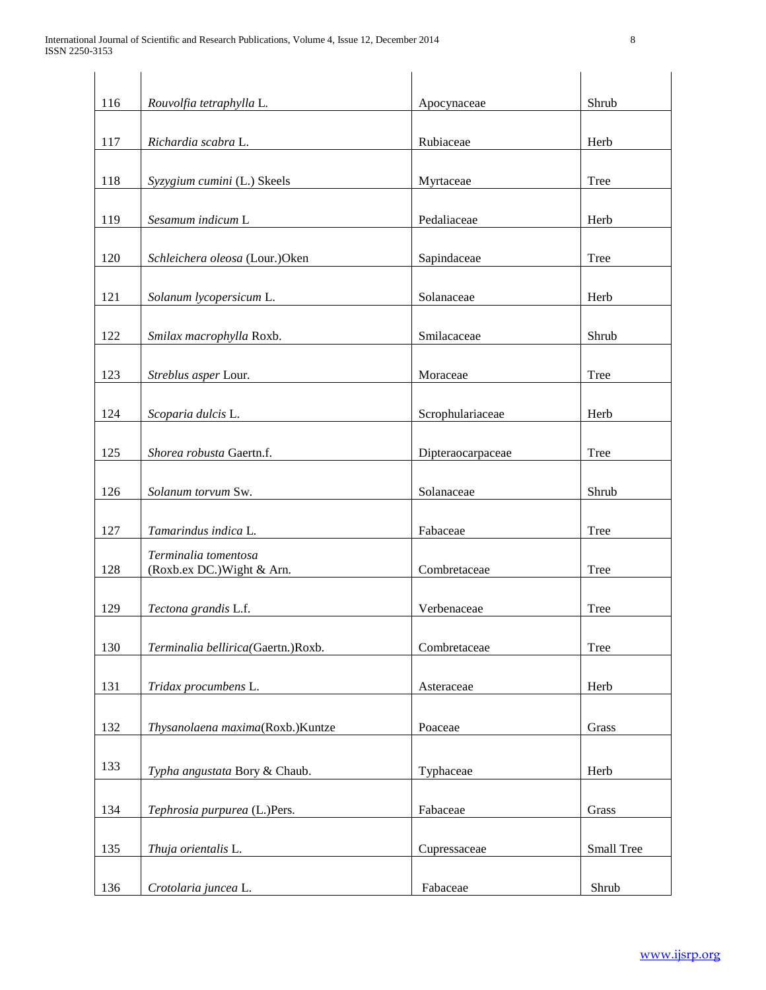| 116 | Rouvolfia tetraphylla L.                           | Apocynaceae       | Shrub      |
|-----|----------------------------------------------------|-------------------|------------|
| 117 | Richardia scabra L.                                | Rubiaceae         | Herb       |
| 118 | Syzygium cumini (L.) Skeels                        | Myrtaceae         | Tree       |
| 119 | Sesamum indicum L                                  | Pedaliaceae       | Herb       |
| 120 | Schleichera oleosa (Lour.)Oken                     | Sapindaceae       | Tree       |
| 121 | Solanum lycopersicum L.                            | Solanaceae        | Herb       |
| 122 | Smilax macrophylla Roxb.                           | Smilacaceae       | Shrub      |
| 123 | Streblus asper Lour.                               | Moraceae          | Tree       |
| 124 | Scoparia dulcis L.                                 | Scrophulariaceae  | Herb       |
| 125 | Shorea robusta Gaertn.f.                           | Dipteraocarpaceae | Tree       |
| 126 | Solanum torvum Sw.                                 | Solanaceae        | Shrub      |
| 127 | Tamarindus indica L.                               | Fabaceae          | Tree       |
| 128 | Terminalia tomentosa<br>(Roxb.ex DC.) Wight & Arn. | Combretaceae      | Tree       |
| 129 | Tectona grandis L.f.                               | Verbenaceae       | Tree       |
| 130 | Terminalia bellirica(Gaertn.)Roxb.                 | Combretaceae      | Tree       |
| 131 | Tridax procumbens L.                               | Asteraceae        | Herb       |
| 132 | Thysanolaena maxima(Roxb.)Kuntze                   | Poaceae           | Grass      |
| 133 | Typha angustata Bory & Chaub.                      | Typhaceae         | Herb       |
| 134 | Tephrosia purpurea (L.)Pers.                       | Fabaceae          | Grass      |
| 135 | Thuja orientalis L.                                | Cupressaceae      | Small Tree |
| 136 | Crotolaria juncea L.                               | Fabaceae          | Shrub      |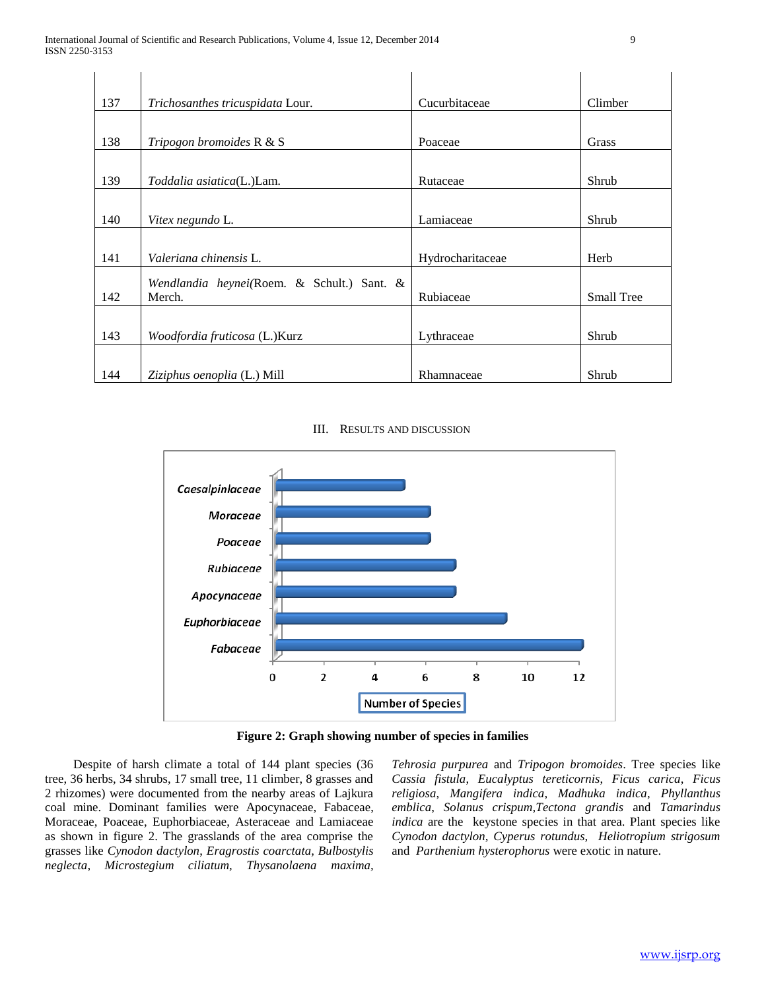$\bar{a}$ 

| 137 | Trichosanthes tricuspidata Lour.           | Cucurbitaceae    | Climber           |
|-----|--------------------------------------------|------------------|-------------------|
|     |                                            |                  |                   |
| 138 | Tripogon bromoides R & S                   | Poaceae          | Grass             |
|     |                                            |                  |                   |
| 139 | Toddalia asiatica(L.)Lam.                  | Rutaceae         | Shrub             |
|     |                                            |                  |                   |
| 140 | Vitex negundo L.                           | Lamiaceae        | Shrub             |
|     |                                            |                  |                   |
| 141 | Valeriana chinensis L.                     | Hydrocharitaceae | Herb              |
|     | Wendlandia heynei(Roem. & Schult.) Sant. & |                  |                   |
| 142 | Merch.                                     | Rubiaceae        | <b>Small Tree</b> |
|     |                                            |                  |                   |
| 143 | Woodfordia fruticosa (L.)Kurz              | Lythraceae       | Shrub             |
|     |                                            |                  |                   |
| 144 | Ziziphus oenoplia (L.) Mill                | Rhamnaceae       | Shrub             |

III. RESULTS AND DISCUSSION



**Figure 2: Graph showing number of species in families**

 Despite of harsh climate a total of 144 plant species (36 tree, 36 herbs, 34 shrubs, 17 small tree, 11 climber, 8 grasses and 2 rhizomes) were documented from the nearby areas of Lajkura coal mine. Dominant families were Apocynaceae, Fabaceae, Moraceae, Poaceae, Euphorbiaceae, Asteraceae and Lamiaceae as shown in figure 2. The grasslands of the area comprise the grasses like *Cynodon dactylon*, *Eragrostis coarctata, Bulbostylis neglecta*, *Microstegium ciliatum, Thysanolaena maxima,* 

*Tehrosia purpurea* and *Tripogon bromoides*. Tree species like *Cassia fistula*, *Eucalyptus tereticornis*, *Ficus carica*, *Ficus religiosa*, *Mangifera indica*, *Madhuka indica*, *Phyllanthus emblica*, *Solanus crispum,Tectona grandis* and *Tamarindus indica* are the keystone species in that area. Plant species like *Cynodon dactylon, Cyperus rotundus, Heliotropium strigosum*  and *Parthenium hysterophorus* were exotic in nature.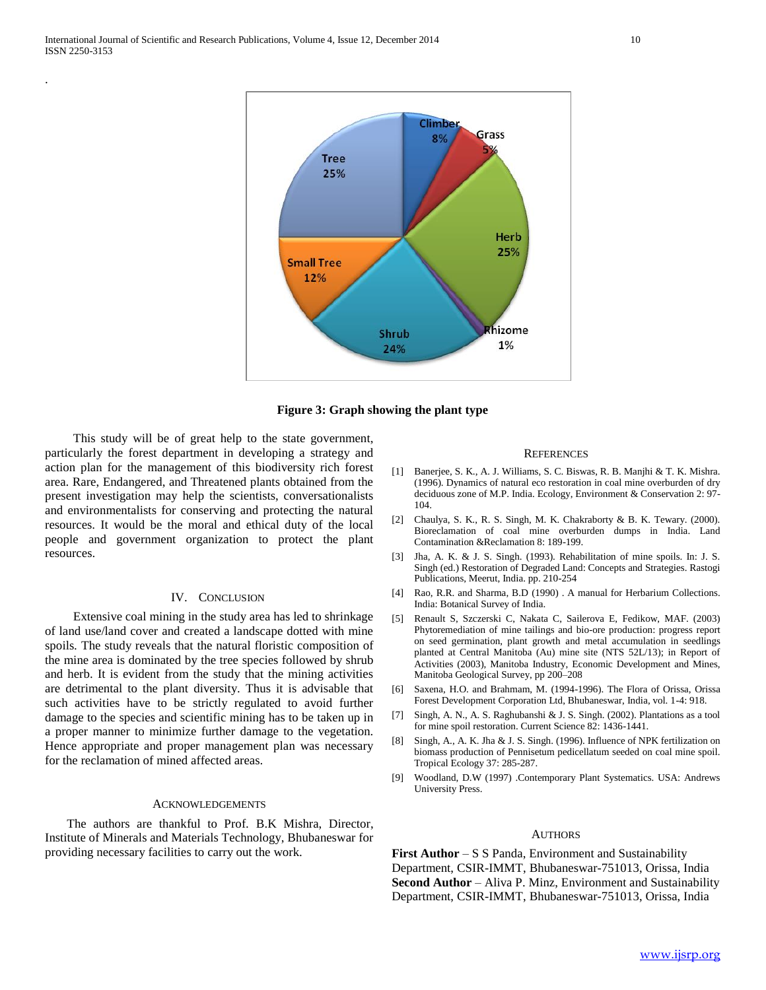.





 This study will be of great help to the state government, particularly the forest department in developing a strategy and action plan for the management of this biodiversity rich forest area. Rare, Endangered, and Threatened plants obtained from the present investigation may help the scientists, conversationalists and environmentalists for conserving and protecting the natural resources. It would be the moral and ethical duty of the local people and government organization to protect the plant resources.

## IV. CONCLUSION

 Extensive coal mining in the study area has led to shrinkage of land use/land cover and created a landscape dotted with mine spoils. The study reveals that the natural floristic composition of the mine area is dominated by the tree species followed by shrub and herb. It is evident from the study that the mining activities are detrimental to the plant diversity. Thus it is advisable that such activities have to be strictly regulated to avoid further damage to the species and scientific mining has to be taken up in a proper manner to minimize further damage to the vegetation. Hence appropriate and proper management plan was necessary for the reclamation of mined affected areas.

#### ACKNOWLEDGEMENTS

 The authors are thankful to Prof. B.K Mishra, Director, Institute of Minerals and Materials Technology, Bhubaneswar for providing necessary facilities to carry out the work.

#### **REFERENCES**

- [1] Banerjee, S. K., A. J. Williams, S. C. Biswas, R. B. Manjhi & T. K. Mishra. (1996). Dynamics of natural eco restoration in coal mine overburden of dry deciduous zone of M.P. India. Ecology, Environment & Conservation 2: 97- 104.
- [2] Chaulya, S. K., R. S. Singh, M. K. Chakraborty & B. K. Tewary. (2000). Bioreclamation of coal mine overburden dumps in India. Land Contamination &Reclamation 8: 189-199.
- [3] Jha, A. K. & J. S. Singh. (1993). Rehabilitation of mine spoils. In: J. S. Singh (ed.) Restoration of Degraded Land: Concepts and Strategies. Rastogi Publications, Meerut, India. pp. 210-254
- [4] Rao, R.R. and Sharma, B.D (1990) . A manual for Herbarium Collections. India: Botanical Survey of India.
- [5] Renault S, Szczerski C, Nakata C, Sailerova E, Fedikow, MAF. (2003) Phytoremediation of mine tailings and bio-ore production: progress report on seed germination, plant growth and metal accumulation in seedlings planted at Central Manitoba (Au) mine site (NTS 52L/13); in Report of Activities (2003), Manitoba Industry, Economic Development and Mines, Manitoba Geological Survey, pp 200–208
- [6] Saxena, H.O. and Brahmam, M. (1994-1996). The Flora of Orissa, Orissa Forest Development Corporation Ltd, Bhubaneswar, India, vol. 1-4: 918.
- [7] Singh, A. N., A. S. Raghubanshi & J. S. Singh. (2002). Plantations as a tool for mine spoil restoration. Current Science 82: 1436-1441.
- [8] Singh, A., A. K. Jha & J. S. Singh. (1996). Influence of NPK fertilization on biomass production of Pennisetum pedicellatum seeded on coal mine spoil. Tropical Ecology 37: 285-287.
- [9] Woodland, D.W (1997) .Contemporary Plant Systematics. USA: Andrews University Press.

#### **AUTHORS**

**First Author** – S S Panda, Environment and Sustainability Department, CSIR-IMMT, Bhubaneswar-751013, Orissa, India **Second Author** – Aliva P. Minz, Environment and Sustainability Department, CSIR-IMMT, Bhubaneswar-751013, Orissa, India